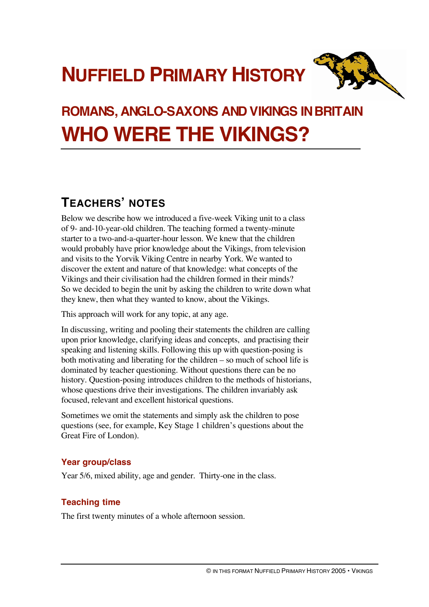# **NUFFIELD PRIMARY HISTORY**



# **ROMANS, ANGLO-SAXONS AND VIKINGS INBRITAIN WHO WERE THE VIKINGS?**

## **TEACHERS' NOTES**

Below we describe how we introduced a five-week Viking unit to a class of 9- and-10-year-old children. The teaching formed a twenty-minute starter to a two-and-a-quarter-hour lesson. We knew that the children would probably have prior knowledge about the Vikings, from television and visits to the Yorvik Viking Centre in nearby York. We wanted to discover the extent and nature of that knowledge: what concepts of the Vikings and their civilisation had the children formed in their minds? So we decided to begin the unit by asking the children to write down what they knew, then what they wanted to know, about the Vikings.

This approach will work for any topic, at any age.

In discussing, writing and pooling their statements the children are calling upon prior knowledge, clarifying ideas and concepts, and practising their speaking and listening skills. Following this up with question-posing is both motivating and liberating for the children – so much of school life is dominated by teacher questioning. Without questions there can be no history. Question-posing introduces children to the methods of historians, whose questions drive their investigations. The children invariably ask focused, relevant and excellent historical questions.

Sometimes we omit the statements and simply ask the children to pose questions (see, for example, Key Stage 1 children's questions about the Great Fire of London).

### **Year group/class**

Year 5/6, mixed ability, age and gender. Thirty-one in the class.

### **Teaching time**

The first twenty minutes of a whole afternoon session.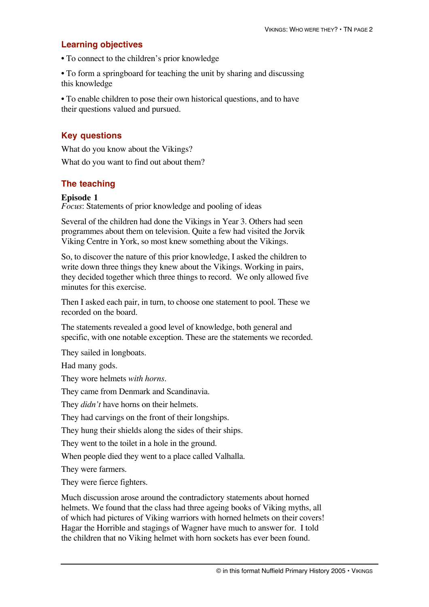#### **Learning objectives**

• To connect to the children's prior knowledge

• To form a springboard for teaching the unit by sharing and discussing this knowledge

• To enable children to pose their own historical questions, and to have their questions valued and pursued.

#### **Key questions**

What do you know about the Vikings? What do you want to find out about them?

#### **The teaching**

#### **Episode 1**

*Focus*: Statements of prior knowledge and pooling of ideas

Several of the children had done the Vikings in Year 3. Others had seen programmes about them on television. Quite a few had visited the Jorvik Viking Centre in York, so most knew something about the Vikings.

So, to discover the nature of this prior knowledge, I asked the children to write down three things they knew about the Vikings. Working in pairs, they decided together which three things to record. We only allowed five minutes for this exercise.

Then I asked each pair, in turn, to choose one statement to pool. These we recorded on the board.

The statements revealed a good level of knowledge, both general and specific, with one notable exception. These are the statements we recorded.

They sailed in longboats.

Had many gods.

They wore helmets *with horns*.

They came from Denmark and Scandinavia.

They *didn't* have horns on their helmets.

They had carvings on the front of their longships.

They hung their shields along the sides of their ships.

They went to the toilet in a hole in the ground.

When people died they went to a place called Valhalla.

They were farmers.

They were fierce fighters.

Much discussion arose around the contradictory statements about horned helmets. We found that the class had three ageing books of Viking myths, all of which had pictures of Viking warriors with horned helmets on their covers! Hagar the Horrible and stagings of Wagner have much to answer for. I told the children that no Viking helmet with horn sockets has ever been found.